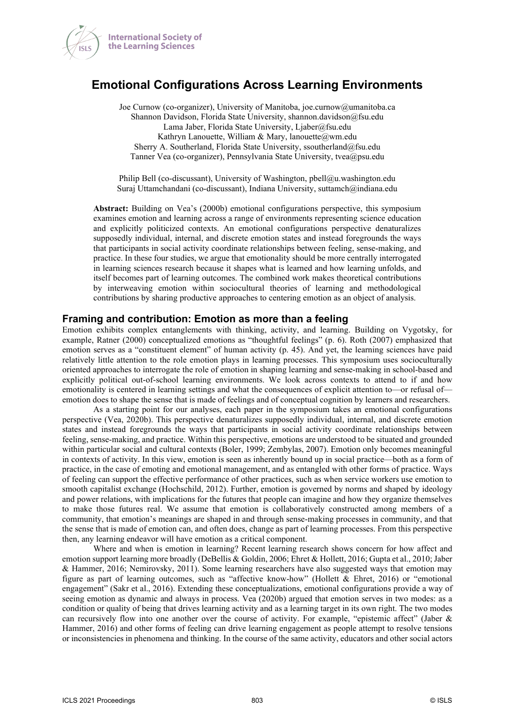

# **Emotional Configurations Across Learning Environments**

Joe Curnow (co-organizer), University of Manitoba, joe.curnow@umanitoba.ca Shannon Davidson, Florida State University, shannon.davidson@fsu.edu Lama Jaber, Florida State University, Ljaber@fsu.edu Kathryn Lanouette, William & Mary, lanouette@wm.edu Sherry A. Southerland, Florida State University, ssoutherland@fsu.edu Tanner Vea (co-organizer), Pennsylvania State University, tvea@psu.edu

Philip Bell (co-discussant), University of Washington, pbell@u.washington.edu Suraj Uttamchandani (co-discussant), Indiana University, suttamch@indiana.edu

**Abstract:** Building on Vea's (2000b) emotional configurations perspective, this symposium examines emotion and learning across a range of environments representing science education and explicitly politicized contexts. An emotional configurations perspective denaturalizes supposedly individual, internal, and discrete emotion states and instead foregrounds the ways that participants in social activity coordinate relationships between feeling, sense-making, and practice. In these four studies, we argue that emotionality should be more centrally interrogated in learning sciences research because it shapes what is learned and how learning unfolds, and itself becomes part of learning outcomes. The combined work makes theoretical contributions by interweaving emotion within sociocultural theories of learning and methodological contributions by sharing productive approaches to centering emotion as an object of analysis.

#### **Framing and contribution: Emotion as more than a feeling**

Emotion exhibits complex entanglements with thinking, activity, and learning. Building on Vygotsky, for example, Ratner (2000) conceptualized emotions as "thoughtful feelings" (p. 6). Roth (2007) emphasized that emotion serves as a "constituent element" of human activity (p. 45). And yet, the learning sciences have paid relatively little attention to the role emotion plays in learning processes. This symposium uses socioculturally oriented approaches to interrogate the role of emotion in shaping learning and sense-making in school-based and explicitly political out-of-school learning environments. We look across contexts to attend to if and how emotionality is centered in learning settings and what the consequences of explicit attention to—or refusal of emotion does to shape the sense that is made of feelings and of conceptual cognition by learners and researchers.

As a starting point for our analyses, each paper in the symposium takes an emotional configurations perspective (Vea, 2020b). This perspective denaturalizes supposedly individual, internal, and discrete emotion states and instead foregrounds the ways that participants in social activity coordinate relationships between feeling, sense-making, and practice. Within this perspective, emotions are understood to be situated and grounded within particular social and cultural contexts (Boler, 1999; Zembylas, 2007). Emotion only becomes meaningful in contexts of activity. In this view, emotion is seen as inherently bound up in social practice—both as a form of practice, in the case of emoting and emotional management, and as entangled with other forms of practice. Ways of feeling can support the effective performance of other practices, such as when service workers use emotion to smooth capitalist exchange (Hochschild, 2012). Further, emotion is governed by norms and shaped by ideology and power relations, with implications for the futures that people can imagine and how they organize themselves to make those futures real. We assume that emotion is collaboratively constructed among members of a community, that emotion's meanings are shaped in and through sense-making processes in community, and that the sense that is made of emotion can, and often does, change as part of learning processes. From this perspective then, any learning endeavor will have emotion as a critical component.

Where and when is emotion in learning? Recent learning research shows concern for how affect and emotion support learning more broadly (DeBellis & Goldin, 2006; Ehret & Hollett, 2016; Gupta et al., 2010; Jaber & Hammer, 2016; Nemirovsky, 2011). Some learning researchers have also suggested ways that emotion may figure as part of learning outcomes, such as "affective know-how" (Hollett & Ehret, 2016) or "emotional engagement" (Sakr et al., 2016). Extending these conceptualizations, emotional configurations provide a way of seeing emotion as dynamic and always in process. Vea (2020b) argued that emotion serves in two modes: as a condition or quality of being that drives learning activity and as a learning target in its own right. The two modes can recursively flow into one another over the course of activity. For example, "epistemic affect" (Jaber & Hammer, 2016) and other forms of feeling can drive learning engagement as people attempt to resolve tensions or inconsistencies in phenomena and thinking. In the course of the same activity, educators and other social actors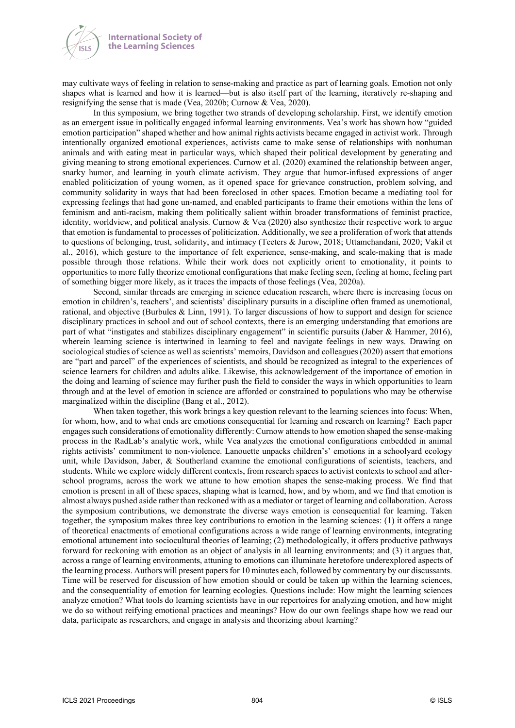

may cultivate ways of feeling in relation to sense-making and practice as part of learning goals. Emotion not only shapes what is learned and how it is learned—but is also itself part of the learning, iteratively re-shaping and resignifying the sense that is made (Vea, 2020b; Curnow & Vea, 2020).

In this symposium, we bring together two strands of developing scholarship. First, we identify emotion as an emergent issue in politically engaged informal learning environments. Vea's work has shown how "guided emotion participation" shaped whether and how animal rights activists became engaged in activist work. Through intentionally organized emotional experiences, activists came to make sense of relationships with nonhuman animals and with eating meat in particular ways, which shaped their political development by generating and giving meaning to strong emotional experiences. Curnow et al. (2020) examined the relationship between anger, snarky humor, and learning in youth climate activism. They argue that humor-infused expressions of anger enabled politicization of young women, as it opened space for grievance construction, problem solving, and community solidarity in ways that had been foreclosed in other spaces. Emotion became a mediating tool for expressing feelings that had gone un-named, and enabled participants to frame their emotions within the lens of feminism and anti-racism, making them politically salient within broader transformations of feminist practice, identity, worldview, and political analysis. Curnow & Vea (2020) also synthesize their respective work to argue that emotion is fundamental to processes of politicization. Additionally, we see a proliferation of work that attends to questions of belonging, trust, solidarity, and intimacy (Teeters & Jurow, 2018; Uttamchandani, 2020; Vakil et al., 2016), which gesture to the importance of felt experience, sense-making, and scale-making that is made possible through those relations. While their work does not explicitly orient to emotionality, it points to opportunities to more fully theorize emotional configurations that make feeling seen, feeling at home, feeling part of something bigger more likely, as it traces the impacts of those feelings (Vea, 2020a).

Second, similar threads are emerging in science education research, where there is increasing focus on emotion in children's, teachers', and scientists' disciplinary pursuits in a discipline often framed as unemotional, rational, and objective (Burbules & Linn, 1991). To larger discussions of how to support and design for science disciplinary practices in school and out of school contexts, there is an emerging understanding that emotions are part of what "instigates and stabilizes disciplinary engagement" in scientific pursuits (Jaber & Hammer, 2016), wherein learning science is intertwined in learning to feel and navigate feelings in new ways. Drawing on sociological studies of science as well as scientists' memoirs, Davidson and colleagues (2020) assert that emotions are "part and parcel" of the experiences of scientists, and should be recognized as integral to the experiences of science learners for children and adults alike. Likewise, this acknowledgement of the importance of emotion in the doing and learning of science may further push the field to consider the ways in which opportunities to learn through and at the level of emotion in science are afforded or constrained to populations who may be otherwise marginalized within the discipline (Bang et al., 2012).

When taken together, this work brings a key question relevant to the learning sciences into focus: When, for whom, how, and to what ends are emotions consequential for learning and research on learning? Each paper engages such considerations of emotionality differently: Curnow attends to how emotion shaped the sense-making process in the RadLab's analytic work, while Vea analyzes the emotional configurations embedded in animal rights activists' commitment to non-violence. Lanouette unpacks children's' emotions in a schoolyard ecology unit, while Davidson, Jaber, & Southerland examine the emotional configurations of scientists, teachers, and students. While we explore widely different contexts, from research spaces to activist contexts to school and afterschool programs, across the work we attune to how emotion shapes the sense-making process. We find that emotion is present in all of these spaces, shaping what is learned, how, and by whom, and we find that emotion is almost always pushed aside rather than reckoned with as a mediator or target of learning and collaboration. Across the symposium contributions, we demonstrate the diverse ways emotion is consequential for learning. Taken together, the symposium makes three key contributions to emotion in the learning sciences: (1) it offers a range of theoretical enactments of emotional configurations across a wide range of learning environments, integrating emotional attunement into sociocultural theories of learning; (2) methodologically, it offers productive pathways forward for reckoning with emotion as an object of analysis in all learning environments; and (3) it argues that, across a range of learning environments, attuning to emotions can illuminate heretofore underexplored aspects of the learning process. Authors will present papers for 10 minutes each, followed by commentary by our discussants. Time will be reserved for discussion of how emotion should or could be taken up within the learning sciences, and the consequentiality of emotion for learning ecologies. Questions include: How might the learning sciences analyze emotion? What tools do learning scientists have in our repertoires for analyzing emotion, and how might we do so without reifying emotional practices and meanings? How do our own feelings shape how we read our data, participate as researchers, and engage in analysis and theorizing about learning?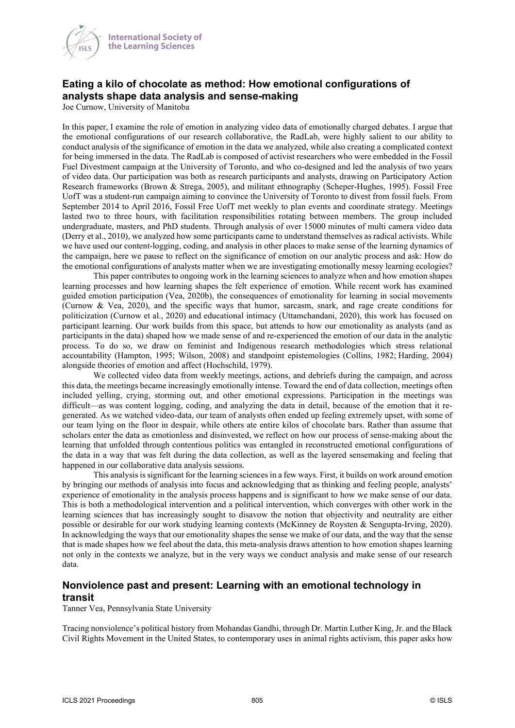

# **Eating a kilo of chocolate as method: How emotional configurations of analysts shape data analysis and sense-making**

Joe Curnow, University of Manitoba

In this paper, I examine the role of emotion in analyzing video data of emotionally charged debates. I argue that the emotional configurations of our research collaborative, the RadLab, were highly salient to our ability to conduct analysis of the significance of emotion in the data we analyzed, while also creating a complicated context for being immersed in the data. The RadLab is composed of activist researchers who were embedded in the Fossil Fuel Divestment campaign at the University of Toronto, and who co-designed and led the analysis of two years of video data. Our participation was both as research participants and analysts, drawing on Participatory Action Research frameworks (Brown & Strega, 2005), and militant ethnography (Scheper-Hughes, 1995). Fossil Free UofT was a student-run campaign aiming to convince the University of Toronto to divest from fossil fuels. From September 2014 to April 2016, Fossil Free UofT met weekly to plan events and coordinate strategy. Meetings lasted two to three hours, with facilitation responsibilities rotating between members. The group included undergraduate, masters, and PhD students. Through analysis of over 15000 minutes of multi camera video data (Derry et al., 2010), we analyzed how some participants came to understand themselves as radical activists. While we have used our content-logging, coding, and analysis in other places to make sense of the learning dynamics of the campaign, here we pause to reflect on the significance of emotion on our analytic process and ask: How do the emotional configurations of analysts matter when we are investigating emotionally messy learning ecologies?

This paper contributes to ongoing work in the learning sciences to analyze when and how emotion shapes learning processes and how learning shapes the felt experience of emotion. While recent work has examined guided emotion participation (Vea, 2020b), the consequences of emotionality for learning in social movements (Curnow & Vea, 2020), and the specific ways that humor, sarcasm, snark, and rage create conditions for politicization (Curnow et al., 2020) and educational intimacy (Uttamchandani, 2020), this work has focused on participant learning. Our work builds from this space, but attends to how our emotionality as analysts (and as participants in the data) shaped how we made sense of and re-experienced the emotion of our data in the analytic process. To do so, we draw on feminist and Indigenous research methodologies which stress relational accountability (Hampton, 1995; Wilson, 2008) and standpoint epistemologies (Collins, 1982; Harding, 2004) alongside theories of emotion and affect (Hochschild, 1979).

We collected video data from weekly meetings, actions, and debriefs during the campaign, and across this data, the meetings became increasingly emotionally intense. Toward the end of data collection, meetings often included yelling, crying, storming out, and other emotional expressions. Participation in the meetings was difficult—as was content logging, coding, and analyzing the data in detail, because of the emotion that it regenerated. As we watched video-data, our team of analysts often ended up feeling extremely upset, with some of our team lying on the floor in despair, while others ate entire kilos of chocolate bars. Rather than assume that scholars enter the data as emotionless and disinvested, we reflect on how our process of sense-making about the learning that unfolded through contentious politics was entangled in reconstructed emotional configurations of the data in a way that was felt during the data collection, as well as the layered sensemaking and feeling that happened in our collaborative data analysis sessions.

This analysis is significant for the learning sciences in a few ways. First, it builds on work around emotion by bringing our methods of analysis into focus and acknowledging that as thinking and feeling people, analysts' experience of emotionality in the analysis process happens and is significant to how we make sense of our data. This is both a methodological intervention and a political intervention, which converges with other work in the learning sciences that has increasingly sought to disavow the notion that objectivity and neutrality are either possible or desirable for our work studying learning contexts (McKinney de Roysten & Sengupta-Irving, 2020). In acknowledging the ways that our emotionality shapes the sense we make of our data, and the way that the sense that is made shapes how we feel about the data, this meta-analysis draws attention to how emotion shapes learning not only in the contexts we analyze, but in the very ways we conduct analysis and make sense of our research data.

### **Nonviolence past and present: Learning with an emotional technology in transit**

Tanner Vea, Pennsylvania State University

Tracing nonviolence's political history from Mohandas Gandhi, through Dr. Martin Luther King, Jr. and the Black Civil Rights Movement in the United States, to contemporary uses in animal rights activism, this paper asks how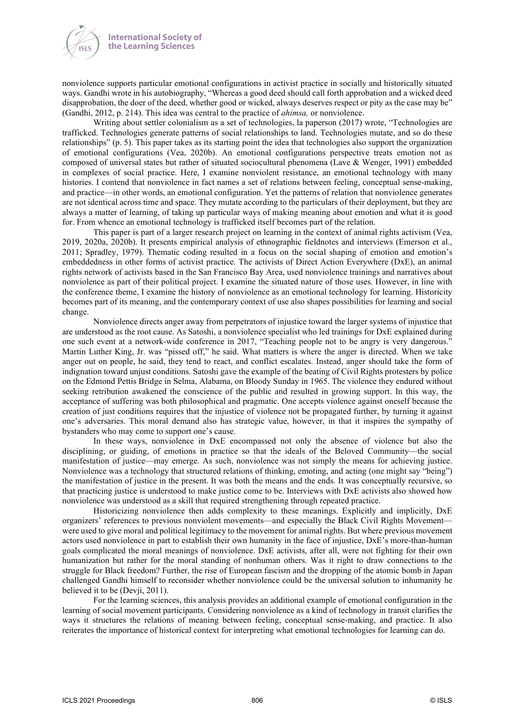



nonviolence supports particular emotional configurations in activist practice in socially and historically situated ways. Gandhi wrote in his autobiography, "Whereas a good deed should call forth approbation and a wicked deed disapprobation, the doer of the deed, whether good or wicked, always deserves respect or pity as the case may be" (Gandhi, 2012, p. 214). This idea was central to the practice of *ahimsa,* or nonviolence.

Writing about settler colonialism as a set of technologies, la paperson (2017) wrote, "Technologies are trafficked. Technologies generate patterns of social relationships to land. Technologies mutate, and so do these relationships" (p. 5). This paper takes as its starting point the idea that technologies also support the organization of emotional configurations (Vea, 2020b). An emotional configurations perspective treats emotion not as composed of universal states but rather of situated sociocultural phenomena (Lave & Wenger, 1991) embedded in complexes of social practice. Here, I examine nonviolent resistance, an emotional technology with many histories. I contend that nonviolence in fact names a set of relations between feeling, conceptual sense-making, and practice—in other words, an emotional configuration. Yet the patterns of relation that nonviolence generates are not identical across time and space. They mutate according to the particulars of their deployment, but they are always a matter of learning, of taking up particular ways of making meaning about emotion and what it is good for. From whence an emotional technology is trafficked itself becomes part of the relation.

This paper is part of a larger research project on learning in the context of animal rights activism (Vea, 2019, 2020a, 2020b). It presents empirical analysis of ethnographic fieldnotes and interviews (Emerson et al., 2011; Spradley, 1979). Thematic coding resulted in a focus on the social shaping of emotion and emotion's embeddedness in other forms of activist practice. The activists of Direct Action Everywhere (DxE), an animal rights network of activists based in the San Francisco Bay Area, used nonviolence trainings and narratives about nonviolence as part of their political project. I examine the situated nature of those uses. However, in line with the conference theme, I examine the history of nonviolence as an emotional technology for learning. Historicity becomes part of its meaning, and the contemporary context of use also shapes possibilities for learning and social change.

Nonviolence directs anger away from perpetrators of injustice toward the larger systems of injustice that are understood as the root cause. As Satoshi, a nonviolence specialist who led trainings for DxE explained during one such event at a network-wide conference in 2017, "Teaching people not to be angry is very dangerous." Martin Luther King, Jr. was "pissed off," he said. What matters is where the anger is directed. When we take anger out on people, he said, they tend to react, and conflict escalates. Instead, anger should take the form of indignation toward unjust conditions. Satoshi gave the example of the beating of Civil Rights protesters by police on the Edmond Pettis Bridge in Selma, Alabama, on Bloody Sunday in 1965. The violence they endured without seeking retribution awakened the conscience of the public and resulted in growing support. In this way, the acceptance of suffering was both philosophical and pragmatic. One accepts violence against oneself because the creation of just conditions requires that the injustice of violence not be propagated further, by turning it against one's adversaries. This moral demand also has strategic value, however, in that it inspires the sympathy of bystanders who may come to support one's cause.

In these ways, nonviolence in DxE encompassed not only the absence of violence but also the disciplining, or guiding, of emotions in practice so that the ideals of the Beloved Community—the social manifestation of justice—may emerge. As such, nonviolence was not simply the means for achieving justice. Nonviolence was a technology that structured relations of thinking, emoting, and acting (one might say "being") the manifestation of justice in the present. It was both the means and the ends. It was conceptually recursive, so that practicing justice is understood to make justice come to be. Interviews with DxE activists also showed how nonviolence was understood as a skill that required strengthening through repeated practice.

Historicizing nonviolence then adds complexity to these meanings. Explicitly and implicitly, DxE organizers' references to previous nonviolent movements—and especially the Black Civil Rights Movement were used to give moral and political legitimacy to the movement for animal rights. But where previous movement actors used nonviolence in part to establish their own humanity in the face of injustice, DxE's more-than-human goals complicated the moral meanings of nonviolence. DxE activists, after all, were not fighting for their own humanization but rather for the moral standing of nonhuman others. Was it right to draw connections to the struggle for Black freedom? Further, the rise of European fascism and the dropping of the atomic bomb in Japan challenged Gandhi himself to reconsider whether nonviolence could be the universal solution to inhumanity he believed it to be (Devji, 2011).

For the learning sciences, this analysis provides an additional example of emotional configuration in the learning of social movement participants. Considering nonviolence as a kind of technology in transit clarifies the ways it structures the relations of meaning between feeling, conceptual sense-making, and practice. It also reiterates the importance of historical context for interpreting what emotional technologies for learning can do.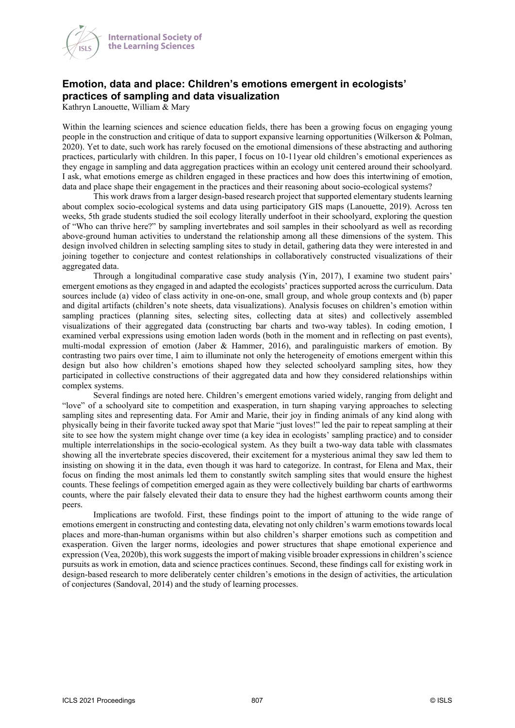

## **Emotion, data and place: Children's emotions emergent in ecologists' practices of sampling and data visualization**

Kathryn Lanouette, William & Mary

Within the learning sciences and science education fields, there has been a growing focus on engaging young people in the construction and critique of data to support expansive learning opportunities (Wilkerson & Polman, 2020). Yet to date, such work has rarely focused on the emotional dimensions of these abstracting and authoring practices, particularly with children. In this paper, I focus on 10-11year old children's emotional experiences as they engage in sampling and data aggregation practices within an ecology unit centered around their schoolyard. I ask, what emotions emerge as children engaged in these practices and how does this intertwining of emotion, data and place shape their engagement in the practices and their reasoning about socio-ecological systems?

This work draws from a larger design-based research project that supported elementary students learning about complex socio-ecological systems and data using participatory GIS maps (Lanouette, 2019). Across ten weeks, 5th grade students studied the soil ecology literally underfoot in their schoolyard, exploring the question of "Who can thrive here?" by sampling invertebrates and soil samples in their schoolyard as well as recording above-ground human activities to understand the relationship among all these dimensions of the system. This design involved children in selecting sampling sites to study in detail, gathering data they were interested in and joining together to conjecture and contest relationships in collaboratively constructed visualizations of their aggregated data.

Through a longitudinal comparative case study analysis (Yin, 2017), I examine two student pairs' emergent emotions as they engaged in and adapted the ecologists' practices supported across the curriculum. Data sources include (a) video of class activity in one-on-one, small group, and whole group contexts and (b) paper and digital artifacts (children's note sheets, data visualizations). Analysis focuses on children's emotion within sampling practices (planning sites, selecting sites, collecting data at sites) and collectively assembled visualizations of their aggregated data (constructing bar charts and two-way tables). In coding emotion, I examined verbal expressions using emotion laden words (both in the moment and in reflecting on past events), multi-modal expression of emotion (Jaber & Hammer, 2016), and paralinguistic markers of emotion. By contrasting two pairs over time, I aim to illuminate not only the heterogeneity of emotions emergent within this design but also how children's emotions shaped how they selected schoolyard sampling sites, how they participated in collective constructions of their aggregated data and how they considered relationships within complex systems.

Several findings are noted here. Children's emergent emotions varied widely, ranging from delight and "love" of a schoolyard site to competition and exasperation, in turn shaping varying approaches to selecting sampling sites and representing data. For Amir and Marie, their joy in finding animals of any kind along with physically being in their favorite tucked away spot that Marie "just loves!" led the pair to repeat sampling at their site to see how the system might change over time (a key idea in ecologists' sampling practice) and to consider multiple interrelationships in the socio-ecological system. As they built a two-way data table with classmates showing all the invertebrate species discovered, their excitement for a mysterious animal they saw led them to insisting on showing it in the data, even though it was hard to categorize. In contrast, for Elena and Max, their focus on finding the most animals led them to constantly switch sampling sites that would ensure the highest counts. These feelings of competition emerged again as they were collectively building bar charts of earthworms counts, where the pair falsely elevated their data to ensure they had the highest earthworm counts among their peers.

Implications are twofold. First, these findings point to the import of attuning to the wide range of emotions emergent in constructing and contesting data, elevating not only children's warm emotions towards local places and more-than-human organisms within but also children's sharper emotions such as competition and exasperation. Given the larger norms, ideologies and power structures that shape emotional experience and expression (Vea, 2020b), this work suggests the import of making visible broader expressions in children's science pursuits as work in emotion, data and science practices continues. Second, these findings call for existing work in design-based research to more deliberately center children's emotions in the design of activities, the articulation of conjectures (Sandoval, 2014) and the study of learning processes.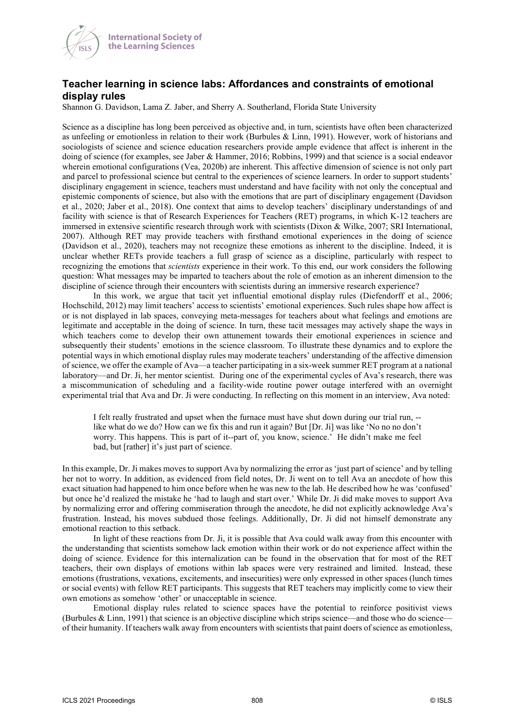

## **Teacher learning in science labs: Affordances and constraints of emotional display rules**

Shannon G. Davidson, Lama Z. Jaber, and Sherry A. Southerland, Florida State University

Science as a discipline has long been perceived as objective and, in turn, scientists have often been characterized as unfeeling or emotionless in relation to their work (Burbules & Linn, 1991). However, work of historians and sociologists of science and science education researchers provide ample evidence that affect is inherent in the doing of science (for examples, see Jaber & Hammer, 2016; Robbins, 1999) and that science is a social endeavor wherein emotional configurations (Vea, 2020b) are inherent. This affective dimension of science is not only part and parcel to professional science but central to the experiences of science learners. In order to support students' disciplinary engagement in science, teachers must understand and have facility with not only the conceptual and epistemic components of science, but also with the emotions that are part of disciplinary engagement (Davidson et al., 2020; Jaber et al., 2018). One context that aims to develop teachers' disciplinary understandings of and facility with science is that of Research Experiences for Teachers (RET) programs, in which K-12 teachers are immersed in extensive scientific research through work with scientists (Dixon & Wilke, 2007; SRI International, 2007). Although RET may provide teachers with firsthand emotional experiences in the doing of science (Davidson et al., 2020), teachers may not recognize these emotions as inherent to the discipline. Indeed, it is unclear whether RETs provide teachers a full grasp of science as a discipline, particularly with respect to recognizing the emotions that *scientists* experience in their work. To this end, our work considers the following question: What messages may be imparted to teachers about the role of emotion as an inherent dimension to the discipline of science through their encounters with scientists during an immersive research experience?

In this work, we argue that tacit yet influential emotional display rules (Diefendorff et al., 2006; Hochschild, 2012) may limit teachers' access to scientists' emotional experiences. Such rules shape how affect is or is not displayed in lab spaces, conveying meta-messages for teachers about what feelings and emotions are legitimate and acceptable in the doing of science. In turn, these tacit messages may actively shape the ways in which teachers come to develop their own attunement towards their emotional experiences in science and subsequently their students' emotions in the science classroom. To illustrate these dynamics and to explore the potential ways in which emotional display rules may moderate teachers' understanding of the affective dimension of science, we offer the example of Ava—a teacher participating in a six-week summer RET program at a national laboratory—and Dr. Ji, her mentor scientist. During one of the experimental cycles of Ava's research, there was a miscommunication of scheduling and a facility-wide routine power outage interfered with an overnight experimental trial that Ava and Dr. Ji were conducting. In reflecting on this moment in an interview, Ava noted:

I felt really frustrated and upset when the furnace must have shut down during our trial run, - like what do we do? How can we fix this and run it again? But [Dr. Ji] was like 'No no no don't worry. This happens. This is part of it--part of, you know, science.' He didn't make me feel bad, but [rather] it's just part of science.

In this example, Dr. Ji makes moves to support Ava by normalizing the error as 'just part of science' and by telling her not to worry. In addition, as evidenced from field notes, Dr. Ji went on to tell Ava an anecdote of how this exact situation had happened to him once before when he was new to the lab. He described how he was 'confused' but once he'd realized the mistake he 'had to laugh and start over.' While Dr. Ji did make moves to support Ava by normalizing error and offering commiseration through the anecdote, he did not explicitly acknowledge Ava's frustration. Instead, his moves subdued those feelings. Additionally, Dr. Ji did not himself demonstrate any emotional reaction to this setback.

In light of these reactions from Dr. Ji, it is possible that Ava could walk away from this encounter with the understanding that scientists somehow lack emotion within their work or do not experience affect within the doing of science. Evidence for this internalization can be found in the observation that for most of the RET teachers, their own displays of emotions within lab spaces were very restrained and limited. Instead, these emotions (frustrations, vexations, excitements, and insecurities) were only expressed in other spaces (lunch times or social events) with fellow RET participants. This suggests that RET teachers may implicitly come to view their own emotions as somehow 'other' or unacceptable in science.

Emotional display rules related to science spaces have the potential to reinforce positivist views (Burbules & Linn, 1991) that science is an objective discipline which strips science—and those who do science of their humanity. If teachers walk away from encounters with scientists that paint doers of science as emotionless,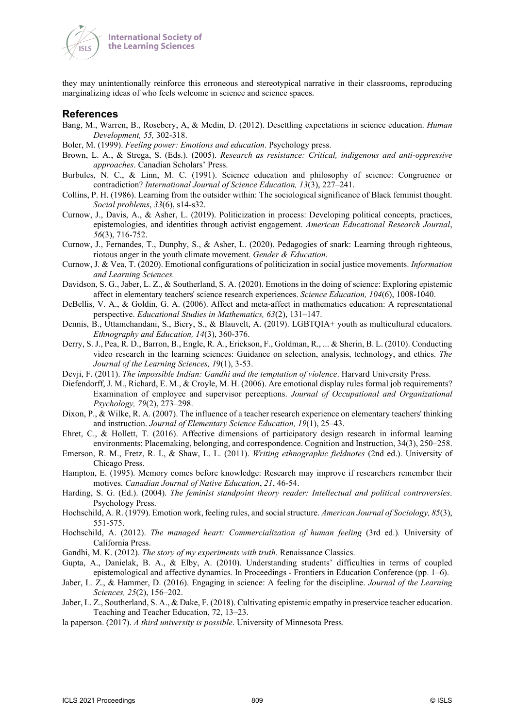

they may unintentionally reinforce this erroneous and stereotypical narrative in their classrooms, reproducing marginalizing ideas of who feels welcome in science and science spaces.

#### **References**

- Bang, M., Warren, B., Rosebery, A, & Medin, D. (2012). Desettling expectations in science education. *Human Development, 55,* 302-318.
- Boler, M. (1999). *Feeling power: Emotions and education*. Psychology press.
- Brown, L. A., & Strega, S. (Eds.). (2005). *Research as resistance: Critical, indigenous and anti-oppressive approaches*. Canadian Scholars' Press.
- Burbules, N. C., & Linn, M. C. (1991). Science education and philosophy of science: Congruence or contradiction? *International Journal of Science Education, 13*(3), 227–241.
- Collins, P. H. (1986). Learning from the outsider within: The sociological significance of Black feminist thought. *Social problems*, *33*(6), s14-s32.
- Curnow, J., Davis, A., & Asher, L. (2019). Politicization in process: Developing political concepts, practices, epistemologies, and identities through activist engagement. *American Educational Research Journal*, *56*(3), 716-752.
- Curnow, J., Fernandes, T., Dunphy, S., & Asher, L. (2020). Pedagogies of snark: Learning through righteous, riotous anger in the youth climate movement. *Gender & Education*.
- Curnow, J. & Vea, T. (2020). Emotional configurations of politicization in social justice movements. *Information and Learning Sciences.*
- Davidson, S. G., Jaber, L. Z., & Southerland, S. A. (2020). Emotions in the doing of science: Exploring epistemic affect in elementary teachers' science research experiences. *Science Education, 104*(6), 1008-1040.
- DeBellis, V. A., & Goldin, G. A. (2006). Affect and meta-affect in mathematics education: A representational perspective. *Educational Studies in Mathematics, 63*(2), 131–147.
- Dennis, B., Uttamchandani, S., Biery, S., & Blauvelt, A. (2019). LGBTQIA+ youth as multicultural educators. *Ethnography and Education, 14*(3), 360-376.
- Derry, S. J., Pea, R. D., Barron, B., Engle, R. A., Erickson, F., Goldman, R., ... & Sherin, B. L. (2010). Conducting video research in the learning sciences: Guidance on selection, analysis, technology, and ethics. *The Journal of the Learning Sciences, 1*9(1), 3-53.
- Devji, F. (2011). *The impossible Indian: Gandhi and the temptation of violence*. Harvard University Press.
- Diefendorff, J. M., Richard, E. M., & Croyle, M. H. (2006). Are emotional display rules formal job requirements? Examination of employee and supervisor perceptions. *Journal of Occupational and Organizational Psychology, 79*(2), 273–298.
- Dixon, P., & Wilke, R. A. (2007). The influence of a teacher research experience on elementary teachers' thinking and instruction. *Journal of Elementary Science Education, 19*(1), 25–43.
- Ehret, C., & Hollett, T. (2016). Affective dimensions of participatory design research in informal learning environments: Placemaking, belonging, and correspondence. Cognition and Instruction, 34(3), 250–258.
- Emerson, R. M., Fretz, R. I., & Shaw, L. L. (2011). *Writing ethnographic fieldnotes* (2nd ed.). University of Chicago Press.
- Hampton, E. (1995). Memory comes before knowledge: Research may improve if researchers remember their motives. *Canadian Journal of Native Education*, *21*, 46-54.
- Harding, S. G. (Ed.). (2004). *The feminist standpoint theory reader: Intellectual and political controversies*. Psychology Press.
- Hochschild, A. R. (1979). Emotion work, feeling rules, and social structure. *American Journal of Sociology, 85*(3), 551-575.
- Hochschild, A. (2012). *The managed heart: Commercialization of human feeling* (3rd ed.). University of California Press.
- Gandhi, M. K. (2012). *The story of my experiments with truth*. Renaissance Classics.
- Gupta, A., Danielak, B. A., & Elby, A. (2010). Understanding students' difficulties in terms of coupled epistemological and affective dynamics. In Proceedings - Frontiers in Education Conference (pp. 1–6).
- Jaber, L. Z., & Hammer, D. (2016). Engaging in science: A feeling for the discipline. *Journal of the Learning Sciences, 25*(2), 156–202.
- Jaber, L. Z., Southerland, S. A., & Dake, F. (2018). Cultivating epistemic empathy in preservice teacher education. Teaching and Teacher Education, 72, 13–23.
- la paperson. (2017). *A third university is possible*. University of Minnesota Press.